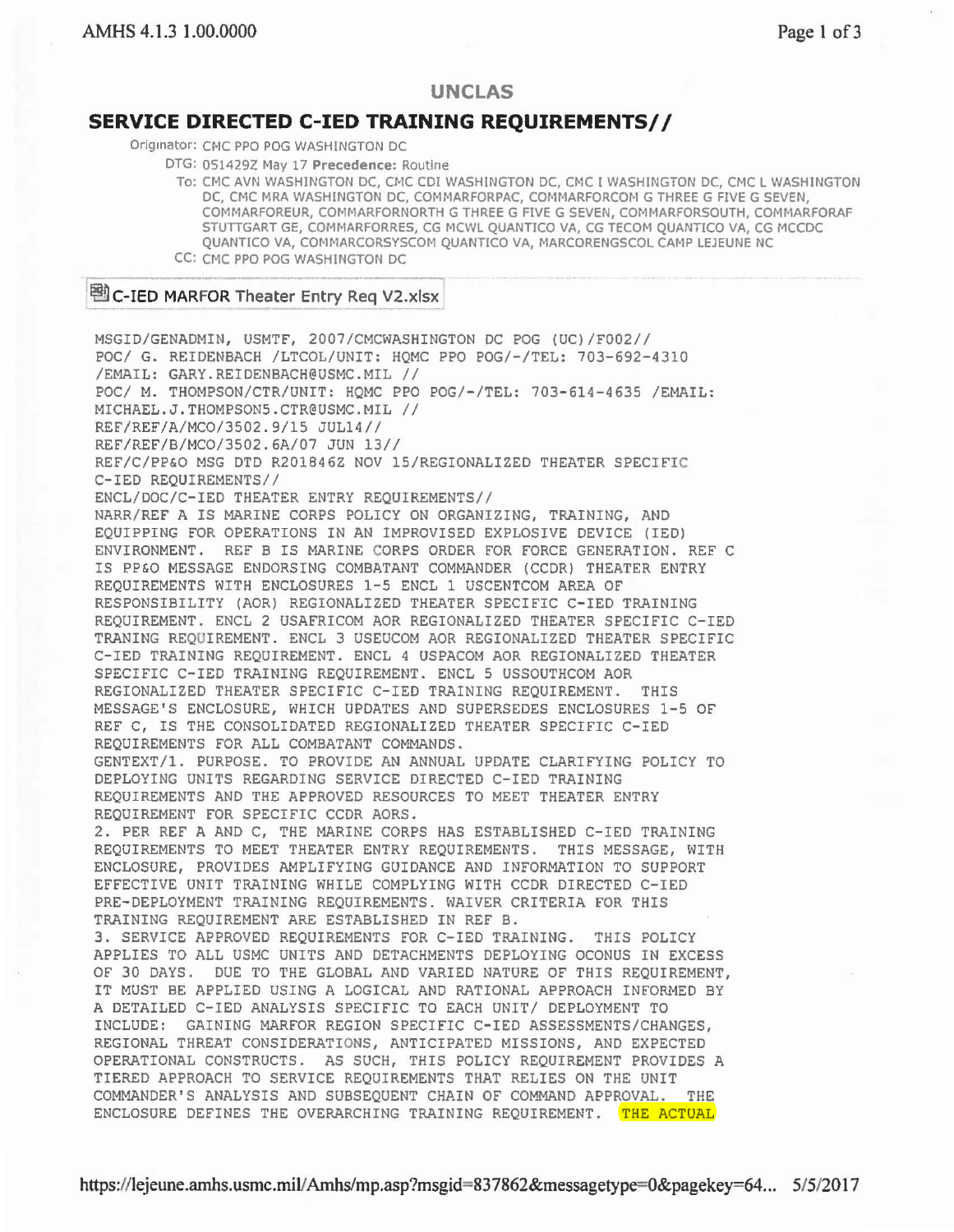## **UNCLAS**

## **SERVICE DIRECTED C-IED TRAINING REQUIREMENTS//**

Originator: CMC PPO POG WASHINGTON DC

DTG: 0514292 May 17 Precedence: Routine

To: CMC AVN WASHINGTON DC, CMC CDI WASHINGTON DC, CMC I WASHINGTON DC, CMC L WASHINGTON DC, CMC MRA WASHINGTON DC, COMMARFORPAC, COMMARFORCOM G THREE G FIVE G SEVEN, COMMARFOREUR, COMMARFORNORTH G THREE G FIVE G SEVEN, COMMARFORSOUTH, COMMARFORAF STUTIGART GE, COMMARFORRES, CG MCWL QUANTICO VA, CG TECOM QUANTICO VA, CG MCCDC QUANTICO VA, COMMARCORSYSCOM QUANTICO VA, MARCORENGSCOL CAMP LEJEUNE NC CC: CMC PPO POG WASHINGTON DC

## <sup>图</sup> C-IED MARFOR Theater Entry Req V2.xlsx

MSGID/GENADMIN, USMTF, 2007/CMCWASHINGTON DC POG (UC) / F002// POC/ G. REIDENBACH / LTCOL/UNIT: HQMC PPO POG / -/TEL: 703-692-4310 /EMAIL: GARY.REIDENBACH@USMC . MIL / / POC/ M. THOMPSON/CTR/UNIT: HQMC PPO POG/-/TEL: 703-614-4635 /EMAIL: MICHAEL.J.THOMPSON5.CTR@USMC.MIL // REF/REF/A/MC0/3502.9/15 JUL14// REF/REF/B/MC0/3502.6A/07 JUN 13// REF/C/PP&O MSG DTD R201846Z NOV 15/REGIONALIZED THEATER SPECIFIC C-IED REQUIREMENTS // ENCL/ DOC/C-IED THEATER ENTRY REQUIREMENTS// NARR/REF A IS MARINE CORPS POLICY ON ORGANIZING, TRAINING, AND EQUIPPING FOR OPERATIONS IN AN IMPROVISED EXPLOSIVE DEVICE (IED) ENVIRONMENT. REF B IS MARINE CORPS ORDER FOR FORCE GENERATION. REF C IS PP&O MESSAGE ENDORSING COMBATANT COMMANDER (CCDR) THEATER ENTRY REQUIREMENTS WITH ENCLOSURES 1-5 ENCL 1 USCENTCOM AREA OF RESPONSIBILITY (AOR) REGIONALIZED THEATER SPECIFIC C-IED TRAINING REQUIREMENT. ENCL 2 USAFRICOM AOR REGIONALIZED THEATER SPECIFIC C-IED TRANING REQUIREMENT. ENCL 3 USEUCOM AOR REGIONALIZED THEATER SPECIFIC C-IED TRAINING REQUIREMENT. ENCL 4 USPACOM AOR REGIONALIZED THEATER SPECIFIC C-IED TRAINING REQUIREMENT. ENCL 5 USSOUTHCOM AOR REGIONALIZED THEATER SPECIFIC C-IED TRAINING REQUIREMENT. THIS MESSAGE'S ENCLOSURE, WHICH UPDATES AND SUPERSEDES ENCLOSURES 1-5 OF REF C, IS THE CONSOLIDATED REGIONALIZED THEATER SPECIFIC C-IED REQUIREMENTS FOR ALL COMBATANT COMMANDS. GENTEXT/1 . PURPOSE. TO PROVIDE AN ANNUAL UPDATE CLARIFYING POLICY TO DEPLOYING UNITS REGARDING SERVICE DIRECTED C-IED TRAINING REQUIREMENTS AND THE APPROVED RESOURCES TO MEET THEATER ENTRY REQUIREMENT FOR SPECIFIC CCDR AORS. 2 . PER REF A AND C, THE MARINE CORPS HAS ESTABLISHED C-IED TRAINING REQUIREMENTS TO MEET THEATER ENTRY REQUIREMENTS. THIS MESSAGE, WITH ENCLOSURE, PROVIDES AMPLIFYING GUIDANCE AND INFORMATION TO SUPPORT EFFECTIVE UNIT TRAINING WHILE COMPLYING WITH CCDR DIRECTED C-IED PRE-DEPLOYMENT TRAINING REQUIREMENTS. WAIVER CRITERIA FOR THIS TRAINING REQUIREMENT ARE ESTABLISHED IN REF 8. 3. SERVICE APPROVED REQUIREMENTS FOR C-IED TRAINING. THIS POLICY APPLIES TO ALL USMC UNITS AND DETACHMENTS DEPLOYING OCONUS IN EXCESS OF 30 DAYS. DUE TO THE GLOBAL AND VARIED NATURE OF THIS REQUIREMENT, IT MUST BE APPLIED USING A LOGICAL AND RATIONAL APPROACH INFORMED BY A DETAILED C-IED ANALYSIS SPECIFIC TO EACH UNIT/ DEPLOYMENT TO INCLUDE: GAINING MARFOR REGION SPECIFIC C-IED ASSESSMENTS/CHANGES, REGIONAL THREAT CONSIDERATIONS, ANTICIPATED MISSIONS, AND EXPECTED OPERATIONAL CONSTRUCTS. AS SUCH, THIS POLICY REQUIREMENT PROVIDES A TIERED APPROACH TO SERVICE REQUIREMENTS THAT RELIES ON THE UNIT COMMANDER'S ANALYSIS AND SUBSEQUENT CHAIN OF COMMAND APPROVAL . THE ENCLOSURE DEFINES THE OVERARCHING TRAINING REQUIREMENT. THE ACTUAL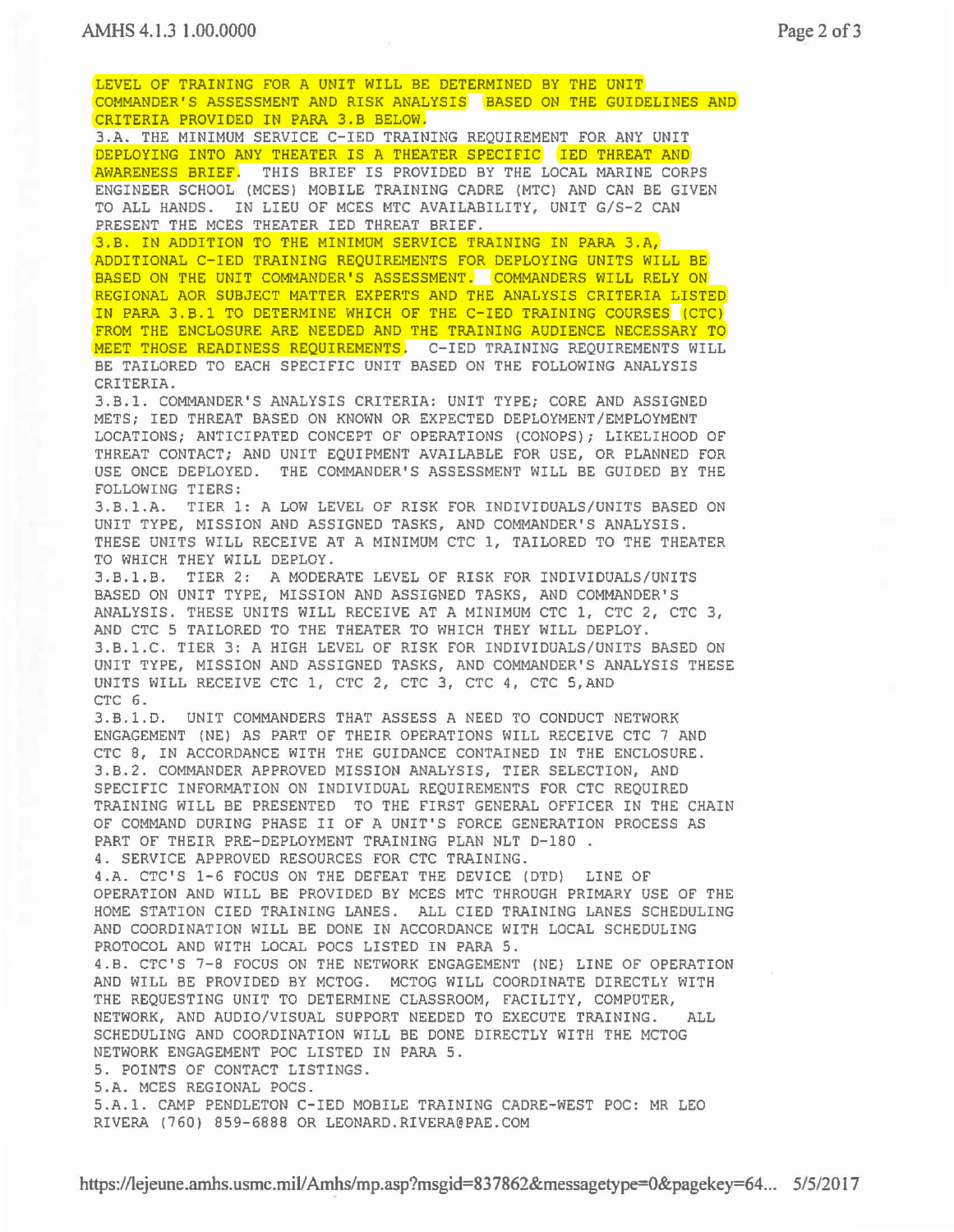LEVEL OF TRAINING FOR A UNIT WILL BE DETERMINED BY THE UNIT COMMANDER'S ASSESSMENT AND RISK ANALYSIS BASED ON THE GUIDELINES AND CRITERIA PROVIDED IN PARA 3.B BELOW. 3.A. THE MINIMUM SERVICE C-IED TRAINING REQUIREMENT FOR ANY UNIT DEPLOYING INTO ANY THEATER IS A THEATER SPECIFIC IED THREAT AND AWARENESS BRIEF. THIS BRIEF IS PROVIDED BY THE LOCAL MARINE CORPS ENGINEER SCHOOL (MCES) MOBILE TRAINING CADRE (MTC) AND CAN BE GIVEN TO ALL HANDS. IN LIEU OF MCES MTC AVAILABILITY, UNIT G/S-2 CAN PRESENT THE MCES THEATER IED THREAT BRIEF. 3.B. IN ADDITION TO THE MINIMUM SERVICE TRAINING IN PARA 3.A, ADDITIONAL C-IED TRAINING REQUIREMENTS FOR DEPLOYING UNITS WILL BE BASED ON THE UNIT COMMANDER'S ASSESSMENT. COMMANDERS WILL RELY ON REGIONAL AOR SUBJECT MATTER EXPERTS AND THE ANALYSIS CRITERIA LISTED IN PARA 3.B.1 TO DETERMINE WHICH OF THE C-IED TRAINING COURSES (CTC) FROM THE ENCLOSURE ARE NEEDED AND THE TRAINING AUDIENCE NECESSARY TO MEET THOSE READINESS REQUIREMENTS. C-IED TRAINING REQUIREMENTS WILL BE TAILORED TO EACH SPECIFIC UNIT BASED ON THE FOLLOWING ANALYSIS CRITERIA. 3.B.l. COMMANDER'S ANALYSIS CRITERIA: UNIT TYPE; CORE AND ASSIGNED METS; IED THREAT BASED ON KNOWN OR EXPECTED DEPLOYMENT/EMPLOYMENT LOCATIONS; ANTICIPATED CONCEPT OF OPERATIONS (CONOPS); LIKELIHOOD OF THREAT CONTACT; AND UNIT EQUIPMENT AVAILABLE FOR USE, OR PLANNED FOR USE ONCE DEPLOYED. THE COMMANDER'S ASSESSMENT WILL BE GUIDED BY THE FOLLOWING TIERS: 3.B.1.A. TIER 1: A LOW LEVEL OF RISK FOR INDIVIDUALS/UNITS BASED ON UNIT TYPE, MISSION AND ASSIGNED TASKS, AND COMMANDER'S ANALYSIS. THESE UNITS WILL RECEIVE AT A MINIMUM CTC 1, TAILORED TO THE THEATER TO WHICH THEY WILL DEPLOY. 3.B.1.B. TIER 2: A MODERATE LEVEL OF RISK FOR INDIVIDUALS/UNITS BASED ON UNIT TYPE, MISSION AND ASSIGNED TASKS, AND COMMANDER'S ANALYSIS. THESE UNITS WILL RECEIVE AT A MINIMUM CTC 1, CTC 2, CTC 3, AND CTC 5 TAILORED TO THE THEATER TO WHICH THEY WILL DEPLOY . 3.B.1.C. TIER 3: A HIGH LEVEL OF RISK FOR INDIVIDUALS/UNITS BASED ON UNIT TYPE, MISSION AND ASSIGNED TASKS, AND COMMANDER'S ANALYSIS THESE UNITS WILL RECEIVE CTC 1, CTC 2, CTC 3, CTC 4, CTC 5,AND CTC 6. 3.B.1.D. UNIT COMMANDERS THAT ASSESS A NEED TO CONDUCT NETWORK ENGAGEMENT (NE) AS PART OF THEIR OPERATIONS WILL RECEIVE CTC 7 AND CTC 8, IN ACCORDANCE WITH THE GUIDANCE CONTAINED IN THE ENCLOSURE. 3.B.2. COMMANDER APPROVED MISSION ANALYSIS, TIER SELECTION, AND SPECIFIC INFORMATION ON INDIVIDUAL REQUIREMENTS FOR CTC REQUIRED TRAINING WILL BE PRESENTED TO THE FIRST GENERAL OFFICER IN THE CHAIN OF COMMAND DURING PHASE II OF A UNIT'S FORCE GENERATION PROCESS AS PART OF THEIR PRE-DEPLOYMENT TRAINING PLAN NLT D-180. 4. SERVICE APPROVED RESOURCES FOR CTC TRAINING. 4.A. CTC'S 1-6 FOCUS ON THE DEFEAT THE DEVICE (OTO) LINE OF OPERATION AND WILL BE PROVIDED BY MCES MTC THROUGH PRIMARY USE OF THE HOME STATION CIED TRAINING LANES . ALL CIED TRAINING LANES SCHEDULING AND COORDINATION WILL BE DONE IN ACCORDANCE WITH LOCAL SCHEDULING PROTOCOL AND WITH LOCAL POCS LISTED IN PARA 5. 4. 8. CTC'S 7-8 FOCUS ON THE NETWORK ENGAGEMENT (NE) LINE OF OPERATION AND WILL BE PROVIDED BY MCTOG . MCTOG WILL COORDINATE DIRECTLY WITH THE REQUESTING UNIT TO DETERMINE CLASSROOM, FACILITY, COMPUTER, NETWORK, AND AUDIO/VISUAL SUPPORT NEEDED TO EXECUTE TRAINING. ALL SCHEDULING AND COORDINATION WILL BE DONE DIRECTLY WITH THE MCTOG NETWORK ENGAGEMENT POC LISTED IN PARA 5 . 5. POINTS OF CONTACT LISTINGS. 5.A. MCES REGIONAL POCS. 5 . A.1. CAMP PENDLETON C-IED MOBILE TRAINING CADRE-WEST POC: MR LEO

RIVERA (760) 859-6888 OR LEONARD . RIVERA@PAE.COM